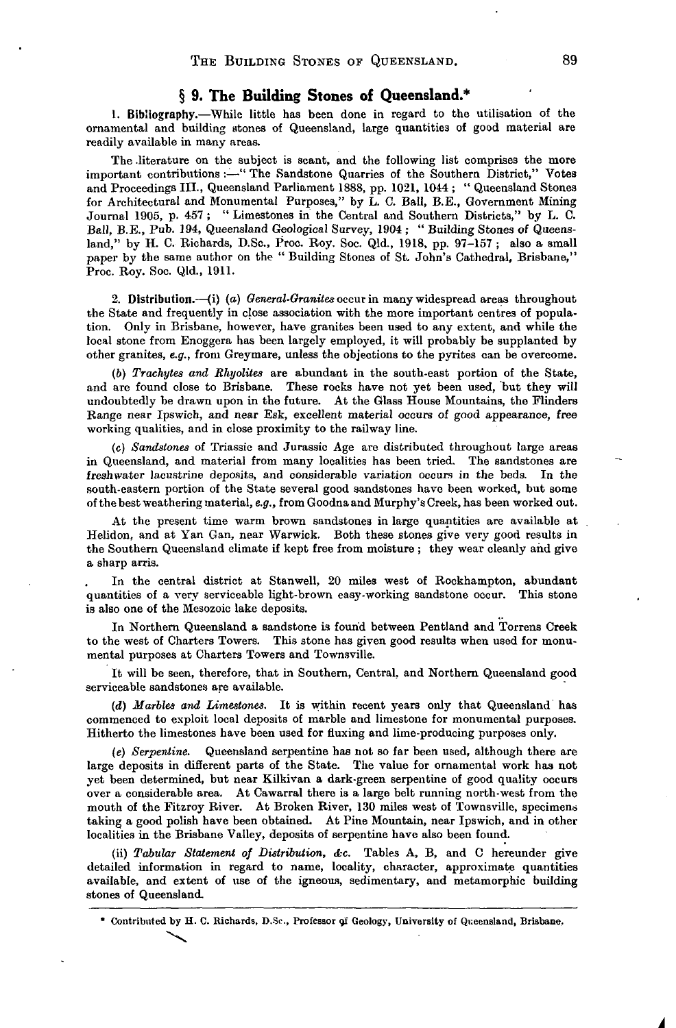### **§ 9. The Building Stones of Queensland.\***

1. Bibliography.—While little has been done in regard to the utilisation of the ornamental and building stones of Queensland, large quantities of good material are readily available in many areas.

The .literature on the subject is scant, and the following list comprises the more important contributions :—" The Sandstone Quarries of the Southern District," Votes and Proceedings III., Queensland Parliament 1888, pp. 1021, 1044 ; " Queensland Stones for Architectural and Monumental Purposes," by L. C. Ball, B.E., Government Mining Journal 1905, p. 457 ; " Limestones in the Central and Southern Districts," by L. C. Ball, B.E., Pub. 194, Queensland Geological Survey, 1904 ; " Building Stones of Queensland," by H. C. Richards, D.Sc., Proc. Roy. Soc. Qld., 1918, pp. 97-157 ; also a small paper by the same author on the " Building Stones of St. John's Cathedral, Brisbane," Proc. Roy. Soc. Qld., 1911.

2. Distribution.—(i) (a) *General-Granites* occur in many widespread areas throughout the State and frequently in close association with the more important centres of population. Only in Brisbane, however, have granites been used to any extent, and while the local stone from Enoggera has been largely employed, it will probably be supplanted by other granites, *e.g.,* from Greymare, unless the objections to the pyrites can be overcome.

(6) *Trachytes and Rhyolites* are abundant in the south-east portion of the State, and are found close to Brisbane. These rocks have not yet been used, but they will undoubtedly be drawn upon in the future. At the Glass House Mountains, the Flinders Range near Ipswich, and near Esk, excellent material occurs of good appearance, free working qualities, and in close proximity to the railway line.

(c) *Sandstones* of Triassic and Jurassic Age are distributed throughout large areas in Queensland, and material from many localities has been tried. The sandstones are freshwater lacustrine deposits, and considerable variation occurs in the beds. In the south-eastern portion of the State several good sandstones have been worked, but some of the best weathering material, *e.g.,* from Goodua and Murphy's Creek, has been worked out.

At the present time warm brown sandstones in large quantities are available at Helidon, and at Yan Gan, near Warwick. Both these stones give very good results in the Southern Queensland climate if kept free from moisture ; they wear cleanly and give a sharp arris.

In the central district at Stanwell, 20 miles west of Rockhampton, abundant quantities of a very serviceable light-brown easy-working sandstone occur. This stone is also one of the Mesozoic lake deposits.

In Northern Queensland a sandstone is found between Pentland and Torrens Creek to the west of Charters Towers. This stone has given good results when used for monumental purposes at Charters Towers and Townsville.

It will be seen, therefore, that in Southern, Central, and Northern Queensland good serviceable sandstones are available.

*(d) Marbles and Limestones.* It is within recent years only that Queensland has commenced to exploit local deposits of marble and limestone for monumental purposes. Hitherto the limestones have been used for fluxing and lime-producing purposes only.

*(e) Serpentine.* Queensland serpentine has not so far been used, although there are large deposits in different parts of the State. The value for ornamental work has not yet been determined, but near Kilkivan a dark-green serpentine of good quality occurs over a considerable area. At Cawarral there is a large belt running north-west from the mouth of the Fitzroy River. At Broken River, 130 miles west of Townsville, specimens taking a good polish have been obtained. At Pine Mountain, near Ipswich, and in other localities in the Brisbane Valley, deposits of serpentine have also been found.

(ii) *Tabular Statement of Distribution, &c.* Tables A, B, and C hereunder give detailed information in regard to name, locality, character, approximate quantities available, and extent of use of the igneous, sedimentary, and metamorphic building stones of Queensland.

\* Contributed by H. C. Richards, D.Sr., Professor 94 Geology, University of Queensland, Brisbane.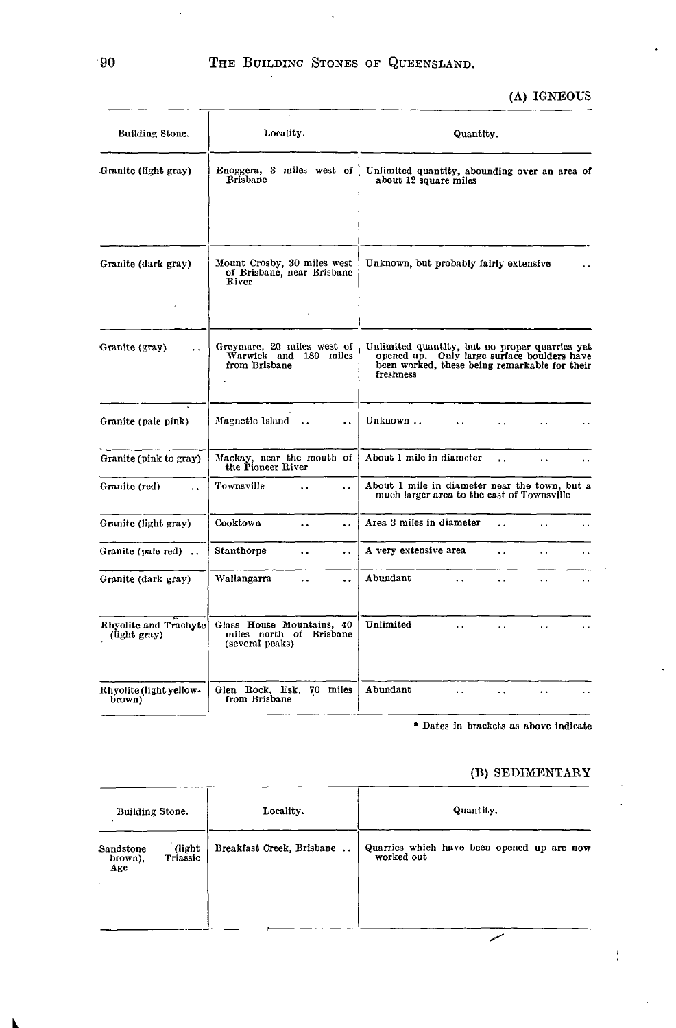(A) IGNEOUS

| Building Stone.                        | Locality.                                                               | Quantity.                                                                                                                                                   |  |  |  |
|----------------------------------------|-------------------------------------------------------------------------|-------------------------------------------------------------------------------------------------------------------------------------------------------------|--|--|--|
| Granite (light gray)                   | Enoggera, 3 miles west of<br><b>Brisbane</b>                            | Unlimited quantity, abounding over an area of<br>about 12 square miles                                                                                      |  |  |  |
|                                        |                                                                         |                                                                                                                                                             |  |  |  |
| Granite (dark gray)                    | Mount Crosby, 30 miles west<br>of Brisbane, near Brisbane<br>River      | Unknown, but probably fairly extensive                                                                                                                      |  |  |  |
|                                        |                                                                         |                                                                                                                                                             |  |  |  |
| Granite (gray)<br>$\ddot{\phantom{a}}$ | Greymare, 20 miles west of<br>Warwick and 180 miles<br>from Brisbane    | Unlimited quantity, but no proper quarries yet<br>opened up. Only large surface boulders have<br>been worked, these being remarkable for their<br>freshness |  |  |  |
| Granite (pale pink)                    | Magnetic Island<br>$\ddot{\phantom{a}}$                                 | Unknown                                                                                                                                                     |  |  |  |
| Granite (pink to gray)                 | Mackay, near the mouth of<br>the Pioneer River                          | About 1 mile in diameter<br>$\ddot{\phantom{a}}$<br>$\ddot{\phantom{0}}$                                                                                    |  |  |  |
| Granite (red)<br>$\ddot{\phantom{a}}$  | Townsville<br>$\ddot{\phantom{a}}$<br>. .                               | About 1 mile in diameter near the town, but a<br>much larger area to the east of Townsville                                                                 |  |  |  |
| Granite (light gray)                   | Cooktown<br>$\ddot{\phantom{0}}$<br>$\ddot{\phantom{0}}$                | Area 3 miles in diameter<br>$\ddot{\phantom{a}}$<br>$\ddotsc$<br>$\ddot{\phantom{0}}$                                                                       |  |  |  |
| Granite (pale red)                     | Stanthorpe<br>$\ddotsc$<br>$\ddot{\phantom{0}}$                         | A very extensive area<br>$\ddot{\phantom{a}}$<br>$\ddot{\phantom{0}}$<br>. .                                                                                |  |  |  |
| Granite (dark gray)                    | Wallangarra<br>. .<br>$\ddot{\phantom{0}}$                              | Abundant<br>i.<br>$\cdots$<br>$\ddot{\phantom{0}}$<br>$\ddot{\phantom{a}}$                                                                                  |  |  |  |
| Rhyolite and Trachyte<br>(light gray)  | Glass House Mountains, 40<br>miles north of Brisbane<br>(several peaks) | Unlimited<br>$\ddot{\phantom{a}}$<br>$\ddot{\phantom{a}}$<br>$\ddot{\phantom{a}}$                                                                           |  |  |  |
| Rhyolite (light yellow-<br>brown)      | Glen Rock, Esk, 70 miles<br>from Brisbane                               | Abundant<br>$\ddot{\phantom{a}}$                                                                                                                            |  |  |  |

**\* Dates** in brackets as **above indicate**

## (B) SEDIMENTARY

 $\frac{1}{4}$ 

| Building Stone.<br>(light)<br>Sandstone<br>Triassic<br>brown),<br>Age |  | Locality.                 | Quantity.                                                |  |  |  |
|-----------------------------------------------------------------------|--|---------------------------|----------------------------------------------------------|--|--|--|
|                                                                       |  | Breakfast Creek, Brisbane | Quarries which have been opened up are now<br>worked out |  |  |  |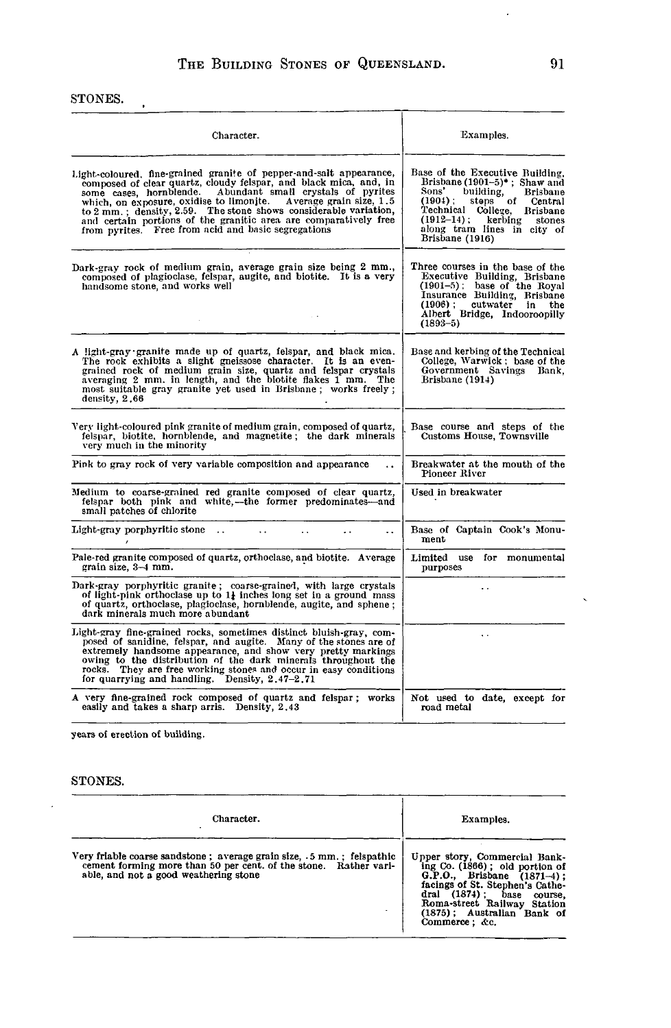### STONES.

 $\mathcal{A}$ 

| Character.                                                                                                                                                                                                                                                                                                                                                                                                                                                                      | Examples.                                                                                                                                                                                                                                                       |
|---------------------------------------------------------------------------------------------------------------------------------------------------------------------------------------------------------------------------------------------------------------------------------------------------------------------------------------------------------------------------------------------------------------------------------------------------------------------------------|-----------------------------------------------------------------------------------------------------------------------------------------------------------------------------------------------------------------------------------------------------------------|
| Light-coloured, fine-grained granite of pepper-and-salt appearance,<br>composed of clear quartz, cloudy felspar, and black mica, and, in<br>Abundant small crystals of pyrites<br>some cases, hornblende.<br>which, on exposure, oxidise to limonite.<br>Average grain size, 1.5<br>to 2 mm.; density, 2.59. The stone shows considerable variation,<br>and certain portions of the granitic area are comparatively free<br>from pyrites. Free from acid and basic segregations | Base of the Executive Building,<br>Brisbane $(1901-5)^*$ , Shaw and<br>Sons'<br>building,<br><b>Brisbane</b><br>$(1904)$ ;<br>steps of<br>Central<br>Technical College, Brisbane<br>(1912–14); kerbing stones<br>along tram lines in city of<br>Brisbane (1916) |
| Dark-gray rock of medium grain, average grain size being 2 mm.,<br>composed of plagioclase, felspar, augite, and biotite. It is a very<br>handsome stone, and works well                                                                                                                                                                                                                                                                                                        | Three courses in the base of the<br>Executive Building, Brisbane<br>(1901–5); base of the Royal<br>Insurance Building, Brisbane<br>(1906); cutwater in the<br>Albert Bridge, Indooroopilly<br>$(1893 - 5)$                                                      |
| A light-gray granite made up of quartz, felspar, and black mica.<br>The rock exhibits a slight gneissose character. It is an even-<br>grained rock of medium grain size, quartz and felspar crystals<br>averaging 2 mm. in length, and the biotite flakes 1 mm. The<br>most suitable gray granite yet used in Brisbane; works freely;<br>density, 2,66                                                                                                                          | Base and kerbing of the Technical<br>College, Warwick; base of the<br>Government Savings Bank.<br>Brisbane (1914)                                                                                                                                               |
| Very light-coloured pink granite of medium grain, composed of quartz,<br>felspar, biotite, hornblende, and magnetite; the dark minerals<br>very much in the minority                                                                                                                                                                                                                                                                                                            | Base course and steps of the<br>Customs House, Townsville                                                                                                                                                                                                       |
| Pink to gray rock of very variable composition and appearance<br>$\ddot{\phantom{a}}$                                                                                                                                                                                                                                                                                                                                                                                           | Breakwater at the mouth of the<br>Pioneer River                                                                                                                                                                                                                 |
| Medium to coarse-grained red granite composed of clear quartz,<br>felspar both pink and white,—the former predominates—and<br>small patches of chlorite                                                                                                                                                                                                                                                                                                                         | Used in breakwater                                                                                                                                                                                                                                              |
| Light-gray porphyritic stone<br>$\ddot{\phantom{0}}$<br>$\sim$<br>. .<br>$\ddot{\phantom{0}}$                                                                                                                                                                                                                                                                                                                                                                                   | Base of Captain Cook's Monu-<br>ment                                                                                                                                                                                                                            |
| Pale-red granite composed of quartz, orthoclase, and biotite. Average<br>grain size, 3-4 mm.                                                                                                                                                                                                                                                                                                                                                                                    | Limited use for monumental<br>purposes                                                                                                                                                                                                                          |
| Dark-gray porphyritic granite; coarse-grained, with large crystals<br>of light-pink orthoclase up to $1i$ inches long set in a ground mass<br>of quartz, orthoclase, plagioclase, hornblende, augite, and sphene;<br>dark minerals much more abundant                                                                                                                                                                                                                           | . .                                                                                                                                                                                                                                                             |
| Light-gray fine-grained rocks, sometimes distinct bluish-gray, com-<br>posed of sanidine, felspar, and augite. Many of the stones are of<br>extremely handsome appearance, and show very pretty markings<br>owing to the distribution of the dark minerals throughout the<br>rocks. They are free working stones and occur in easy conditions<br>for quarrying and handling. Density, 2.47-2.71                                                                                 | $\ddot{\phantom{0}}$                                                                                                                                                                                                                                            |
| A very fine-grained rock composed of quartz and felspar; works<br>easily and takes a sharp arris. Density, 2.43                                                                                                                                                                                                                                                                                                                                                                 | Not used to date, except for<br>road metal                                                                                                                                                                                                                      |

years of erection of building.

STONES.

J.

| Character.                                                                                                                                                                          | Examples.                                                                                                                                                                                                                                         |
|-------------------------------------------------------------------------------------------------------------------------------------------------------------------------------------|---------------------------------------------------------------------------------------------------------------------------------------------------------------------------------------------------------------------------------------------------|
| Very friable coarse sandstone ; average grain size, .5 mm.; felspathic<br>cement forming more than 50 per cent. of the stone. Rather vari-<br>able, and not a good weathering stone | Upper story, Commercial Bank-<br>ing $Co. (1866)$ ; old portion of<br>G.P.O., Brisbane (1871-4);<br>facings of St. Stephen's Cathe-<br>dral (1874); base<br>course.<br>Roma-street Railway Station<br>(1875); Australian Bank of<br>Commerce: &c. |

 $\ddot{\phantom{0}}$ 

 $\epsilon$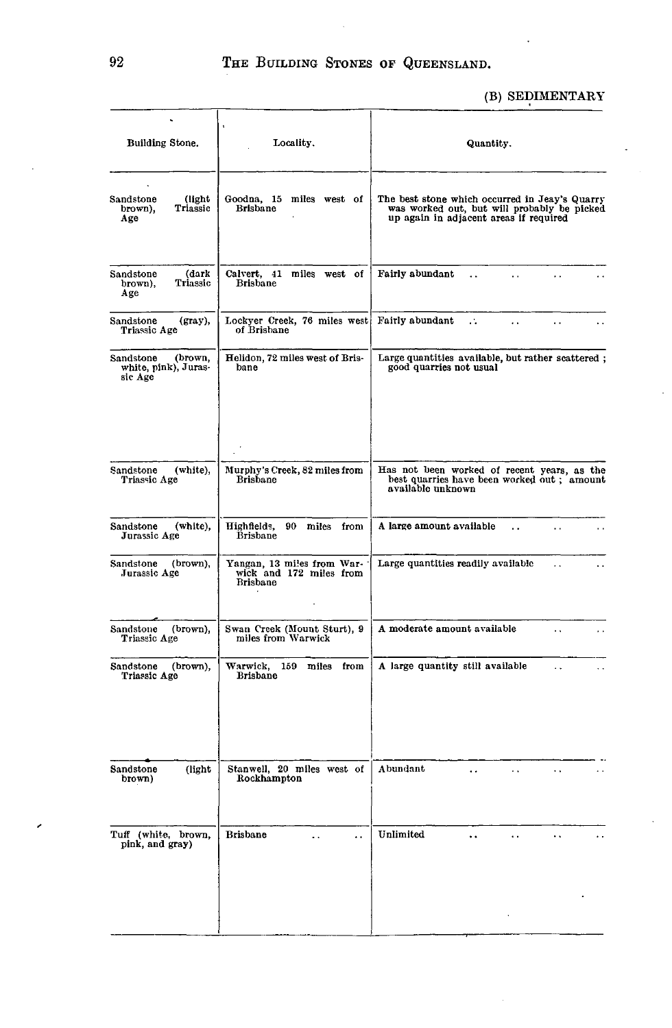# (B) SEDIMENTARY

| Building Stone.                                         | Locality.                                                                | Quantity.                                                                                                                               |  |  |  |  |
|---------------------------------------------------------|--------------------------------------------------------------------------|-----------------------------------------------------------------------------------------------------------------------------------------|--|--|--|--|
| Sandstone<br>(light)<br>Triassic<br>brown),<br>Age      | Goodna, 15 miles west of<br><b>Brisbane</b>                              | The best stone which occurred in Jeay's Quarry<br>was worked out, but will probably be picked<br>up again in adjacent areas if required |  |  |  |  |
| (dark<br>Sandstone<br>Triassic<br>brown),<br>Age        | Calvert, 41 miles west of<br>Brisbane                                    | Fairly abundant<br>$\ddot{\phantom{a}}$ .<br>Ξ.<br>$\ddot{\phantom{1}}$                                                                 |  |  |  |  |
| Sandstone<br>$(gray)$ ,<br>Triassic Age                 | Lockyer Creek, 76 miles west<br>of Brisbane                              | Fairly abundant<br>$\mathcal{L}_{\mathcal{A}}$<br>. .                                                                                   |  |  |  |  |
| (brown.<br>Sandstone<br>white, pink), Juras-<br>sic Age | Helidon, 72 miles west of Bris-<br>bane                                  | Large quantities available, but rather scattered;<br>good quarries not usual                                                            |  |  |  |  |
| Sandstone<br>(white),<br>Triassic Age                   | Murphy's Creek, 82 miles from<br><b>Brisbane</b>                         | Has not been worked of recent years, as the<br>best quarries have been worked out; amount                                               |  |  |  |  |
|                                                         |                                                                          | available unknown                                                                                                                       |  |  |  |  |
| (white),<br>Sandstone<br>Jurassic Age                   | Highfields,<br>90<br>miles from<br><b>Brisbane</b>                       | A large amount available<br>$\ddot{\phantom{0}}$<br>$\ddotsc$<br>. .                                                                    |  |  |  |  |
| Sandstone<br>(brown),<br>Jurassic Age                   | Yangan, 13 miles from War-<br>wick and 172 miles from<br><b>Brisbane</b> | Large quantities readily available<br>$\ddot{\phantom{0}}$                                                                              |  |  |  |  |
| Sandstone<br>(brown),<br>Triassic Age                   | Swan Creek (Mount Sturt), 9<br>miles from Warwick                        | A moderate amount available<br>έ.                                                                                                       |  |  |  |  |
| Sandstone<br>(brown),<br>Triassic Age                   | Warwick, 159<br>miles from<br>Brisbane                                   | A large quantity still available<br>$\ddot{\phantom{0}}$                                                                                |  |  |  |  |
| Sandstone<br>(light)<br>brown)                          | Stanwell, 20 miles west of<br>Rockhampton                                | Abundant<br>$\ddot{\phantom{a}}$<br>$\ddotsc$<br>. .                                                                                    |  |  |  |  |
| Tuff (white, brown,<br>pink, and gray)                  | <b>Brisbane</b><br>. .                                                   | Unlimited                                                                                                                               |  |  |  |  |
|                                                         |                                                                          |                                                                                                                                         |  |  |  |  |

J.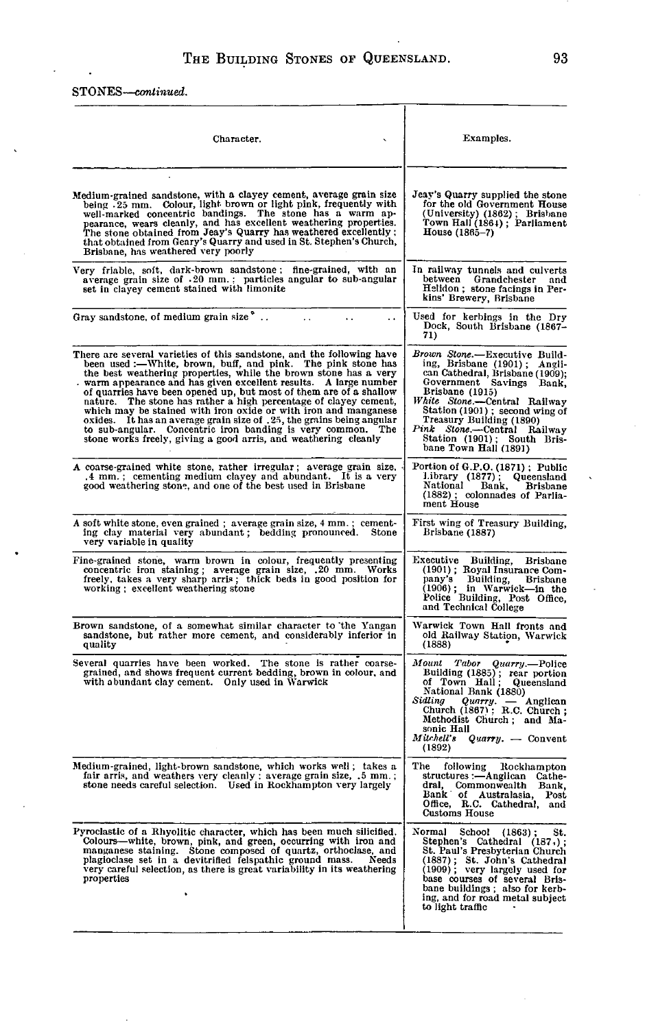STONES—*continued.*

l,

| Character.                                                                                                                                                                                                                                                                                                                                                                                                                                                                                                                                                                                                                                                                                            | Examples.                                                                                                                                                                                                                                                                                                                            |
|-------------------------------------------------------------------------------------------------------------------------------------------------------------------------------------------------------------------------------------------------------------------------------------------------------------------------------------------------------------------------------------------------------------------------------------------------------------------------------------------------------------------------------------------------------------------------------------------------------------------------------------------------------------------------------------------------------|--------------------------------------------------------------------------------------------------------------------------------------------------------------------------------------------------------------------------------------------------------------------------------------------------------------------------------------|
| Medium-grained sandstone, with a clayey cement, average grain size<br>being .25 mm. Colour, light brown or light pink, frequently with<br>well-marked concentric bandings. The stone has a warm ap-<br>pearance, wears cleanly, and has excellent weathering properties.<br>The stone obtained from Jeay's Quarry has weathered excellently :<br>that obtained from Geary's Quarry and used in St. Stephen's Church,<br>Brisbane, has weathered very poorly                                                                                                                                                                                                                                           | Jeay's Quarry supplied the stone<br>for the old Government House<br>(University) (1862); Brisbane<br>Town Hall (1864); Parliament<br>House (1865–7)                                                                                                                                                                                  |
| Very friable, soft, dark-brown sandstone; fine-grained, with an<br>average grain size of .20 mm.: particles angular to sub-angular<br>set in clayey cement stained with limonite                                                                                                                                                                                                                                                                                                                                                                                                                                                                                                                      | In railway tunnels and culverts<br>between<br>Grandchester and<br>Helidon; stone facings in Per-<br>kins' Brewery, Brisbane                                                                                                                                                                                                          |
| Gray sandstone, of medium grain size<br>. .                                                                                                                                                                                                                                                                                                                                                                                                                                                                                                                                                                                                                                                           | Used for kerbings in the Dry<br>Dock, South Brisbane (1867-<br>71)                                                                                                                                                                                                                                                                   |
| There are several varieties of this sandstone, and the following have<br>been used :- White, brown, buff, and pink. The pink stone has<br>the best weathering properties, while the brown stone has a very<br>warm appearance and has given excellent results. A large number<br>of quarries have been opened up, but most of them are of a shallow nature. The stone has rather a high percentage of clayey cement,<br>which may be stained with iron oxide or with iron and manganese<br>oxides. It has an average grain size of .25, the grains being angular<br>to sub-angular. Concentric iron banding is very common.<br>The<br>stone works freely, giving a good arris, and weathering cleanly | Brown Stone.-Executive Build-<br>ing, Brisbane (1901); Angli-<br>can Cathedral, Brisbane (1909);<br>Government Savings Bank,<br>Brisbane (1915)<br>White Stone.—Central Railway<br>Station (1901); second wing of<br>Treasury Building (1890)<br>Pink Stone.-Central Railway<br>Station (1901); South Bris-<br>bane Town Hall (1891) |
| A coarse-grained white stone, rather irregular; average grain size,<br>.4 mm.; cementing medium clayey and abundant. It is a very<br>good weathering stone, and one of the best used in Brisbane                                                                                                                                                                                                                                                                                                                                                                                                                                                                                                      | Portion of G.P.O. (1871); Public<br>Library (1877); Queensland<br>National<br>Bank,<br>Brisbane<br>(1882); colonnades of Parlia-<br>ment House                                                                                                                                                                                       |
| A soft white stone, even grained; average grain size, 4 mm.; cement-<br>ing clay material very abundant; bedding pronounced. Stone<br>very variable in quality                                                                                                                                                                                                                                                                                                                                                                                                                                                                                                                                        | First wing of Treasury Building,<br>Brisbane (1887)                                                                                                                                                                                                                                                                                  |
| Fine-grained stone, warm brown in colour, frequently presenting<br>concentric iron staining; average grain size, .20 mm. Works<br>freely, takes a very sharp arris; thick beds in good position for<br>working; excellent weathering stone                                                                                                                                                                                                                                                                                                                                                                                                                                                            | Executive<br>Building,<br><b>Brisbane</b><br>(1901); Royal Insurance Com-<br>pany's Building, Brisbane<br>(1906); in Warwick-in the<br>Police Building, Post Office,<br>and Technical College                                                                                                                                        |
| Brown sandstone, of a somewhat similar character to the Yangan<br>sandstone, but rather more cement, and considerably inferior in<br>quality                                                                                                                                                                                                                                                                                                                                                                                                                                                                                                                                                          | Warwick Town Hall fronts and<br>old Railway Station, Warwick<br>(1888)                                                                                                                                                                                                                                                               |
| Several quarries have been worked.<br>The stone is rather coarse-<br>grained, and shows frequent current bedding, brown in colour, and<br>with abundant clay cement. Only used in Warwick                                                                                                                                                                                                                                                                                                                                                                                                                                                                                                             | Mount<br>Tabor<br>Quarry.-Police<br>Building (1885); rear portion<br>of Town Hall;<br>Queensland<br>National Bank (1880)<br>Sidling<br>dling Quarry. - Anglican<br>Church (1867) : R.C. Church;<br>Methodist Church; and Ma-<br>sonic Hall<br>Mitchell's<br>$Quarry. - Convert$<br>(1892)                                            |
| Medium-grained, light-brown sandstone, which works well; takes a<br>fair arris, and weathers very cleanly; average grain size, .5 mm.;<br>stone needs careful selection. Used in Rockhampton very largely                                                                                                                                                                                                                                                                                                                                                                                                                                                                                             | The<br>following<br>Rockhampton<br>structures :—Anglican<br>Cathe-<br>dral, Commonwealth Bank,<br>Bank of Australasia.<br>Post<br>Omce, R.C. Cathedral, and<br><b>Customs House</b>                                                                                                                                                  |
| Pyroclastic of a Rhyolitic character, which has been much silicified.<br>Colours—white, brown, pink, and green, occurring with iron and<br>manganese staining. Stone composed of quartz, orthoclase, and<br>plagioclase set in a devitrified felspathic ground mass.<br>Needs<br>very careful selection, as there is great variability in its weathering<br>properties                                                                                                                                                                                                                                                                                                                                | Normal<br>School<br>$(1863)$ :<br>St.<br>Stephen's Cathedral (187.);<br>St. Paul's Presbyterian Church<br>(1887); St. John's Cathedral (1909); very largely used for<br>base courses of several Bris-<br>bane buildings ; also for kerb-<br>ing, and for road metal subject<br>to light traffic                                      |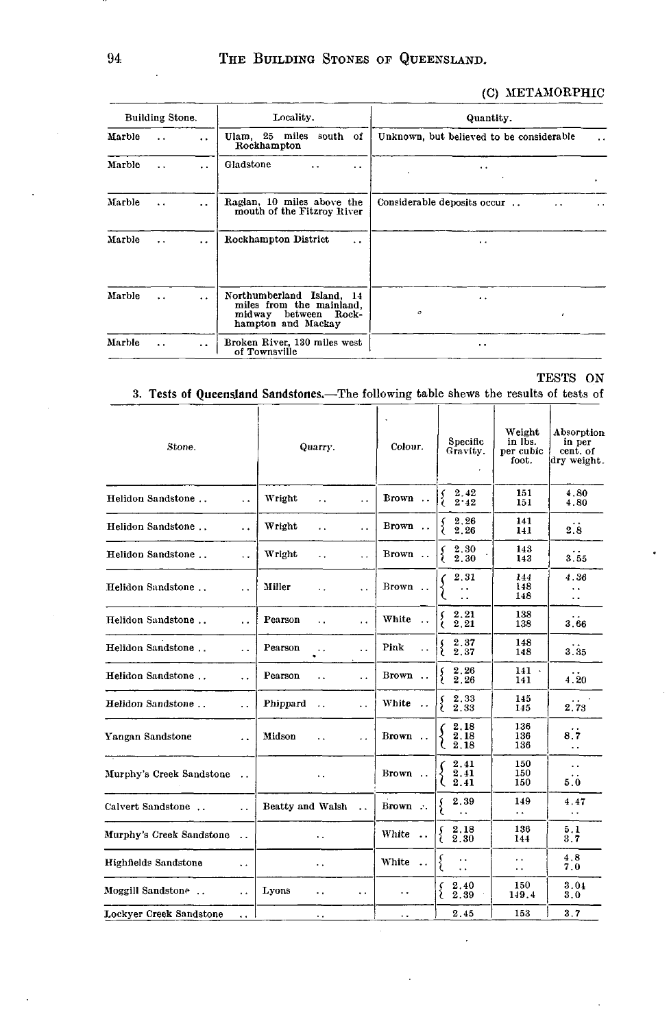## (C) METAMORPHIC

| Building Stone. |                      |                      | Locality.                                                                                              | Quantity.                                                        |  |  |
|-----------------|----------------------|----------------------|--------------------------------------------------------------------------------------------------------|------------------------------------------------------------------|--|--|
| Marble          | $\ddot{\phantom{a}}$ | $\ddot{\phantom{a}}$ | Ulam, 25 miles south of<br>Rockhampton                                                                 | Unknown, but believed to be considerable<br>$\ddot{\phantom{0}}$ |  |  |
| Marble          | $\ddotsc$            | $\ddot{\phantom{a}}$ | Gladstone<br>$\ddot{\phantom{a}}$<br>$\ddot{\phantom{1}}$                                              | . .<br>٠                                                         |  |  |
| Marble          | $\ddot{\phantom{a}}$ | $\ddot{\phantom{0}}$ | Raglan, 10 miles above the<br>mouth of the Fitzroy River                                               | Considerable deposits occur<br>. .<br>$\cdot$ .                  |  |  |
| Marble          | $\ddotsc$            | $\ddot{\phantom{0}}$ | Rockhampton District<br>$\ddot{\phantom{a}}$                                                           | . .                                                              |  |  |
| Marble          | $\ddot{\phantom{0}}$ | $\ddot{\phantom{a}}$ | Northumberland Island, 14<br>miles from the mainland,<br>between Rock-<br>midway<br>hampton and Mackay | . .<br>$\circ$                                                   |  |  |
| Marble          | $\ddot{\phantom{a}}$ | $\ddot{\phantom{0}}$ | Broken River, 130 miles west<br>of Townsville                                                          | $\cdot$ $\cdot$                                                  |  |  |

TESTS ON

## 3. Tests **of Queensland** Sandstones.—The following table shews the results of tests of

| Stone.                   | Quarry.              |                  |                      | Colour.              | Specific<br>Gravity.         | Weight<br>in lbs.<br>per cubic<br>foot.                            | Absorption<br>in per<br>cent. of<br>dry weight. |                                                      |
|--------------------------|----------------------|------------------|----------------------|----------------------|------------------------------|--------------------------------------------------------------------|-------------------------------------------------|------------------------------------------------------|
| Helidon Sandstone        | $\ddot{\phantom{a}}$ | Wright           | . .                  | $\ddot{\phantom{1}}$ | Brown                        | 2.42<br>2.42                                                       | 151<br>151                                      | 4.80<br>4.80                                         |
| Helidon Sandstone        | . .                  | Wright           | . .                  | $\ddot{\phantom{1}}$ | Brown.                       | 2.26<br>2.26                                                       | 141<br>141                                      | 2.8                                                  |
| Helidon Sandstone        | $\ddot{\phantom{a}}$ | Wright           | $\ddot{\phantom{0}}$ | $\ddot{\phantom{0}}$ | Brown                        | $\begin{array}{c} 2.30 \\ 2.30 \end{array}$<br>s                   | 143<br>143                                      | 3.55                                                 |
| Helidon Sandstone        | $\ddot{\phantom{0}}$ | Miller           | $\ddot{\phantom{0}}$ | $\ddotsc$            | Brown                        | 2.31<br>. .                                                        | 144<br>148<br>148                               | 4.36<br>$\ddot{\phantom{1}}$<br>$\ddot{\phantom{1}}$ |
| Helidon Sandstone        | . .                  | Pearson          | $\ddotsc$            | . .                  | White<br>$\cdot$ .           | 2.21<br>2.21                                                       | 138<br>138                                      | 3.66                                                 |
| Helidon Sandstone        | $\ddot{\phantom{0}}$ | Pearson          | $\ddotsc$            | . .                  | Pink<br>$\ddot{\phantom{0}}$ | 2.37<br>2.37                                                       | 148<br>148                                      | 3.35                                                 |
| Helidon Sandstone        | . .                  | Pearson          | $\ddotsc$            | $\ddot{\phantom{0}}$ | Brown                        | 2.26<br>2.26                                                       | 141<br>$\sim$<br>141                            | 4.20                                                 |
| Helidon Sandstone        | $\ddot{\phantom{a}}$ | Phippard         | $\ddot{\phantom{a}}$ | $\ddot{\phantom{0}}$ | White                        | 2.33<br>ç<br>2.33                                                  | 145<br>145                                      | 2.73                                                 |
| Yangan Sandstone         | $\ddot{\phantom{a}}$ | Midson           | $\ddot{\phantom{a}}$ | . .                  | Brown                        | 2,18<br>2,18<br>$\left( \begin{array}{c} 2.18 \end{array} \right)$ | 136<br>136<br>136                               | 8.7<br>$\ddot{\phantom{a}}$                          |
| Murphy's Creek Sandstone | $\sim$ $\sim$        |                  | . .                  |                      | Brown                        | 2.41<br>2.41<br>2.41                                               | 150<br>150<br>150                               | $\sim$ $\sim$<br>5.0                                 |
| Calvert Sandstone        | $\ddot{\phantom{0}}$ | Beatty and Walsh |                      | $\ddot{\phantom{a}}$ | Brown                        | 2.39                                                               | 149<br>$\ddot{\phantom{0}}$                     | 4.47<br>$\sim$                                       |
| Murphy's Creek Sandstone | $\ddot{\phantom{a}}$ |                  | . .                  |                      | White<br>$\sim$              | 2.18<br>{<br>2.30                                                  | 136<br>144                                      | 5.1<br>3.7                                           |
| Highfields Sandstone     | $\ddot{\phantom{1}}$ |                  | ٠.                   |                      | White<br>$\sim$              | $\ddot{\phantom{0}}$                                               | . .<br>. .                                      | 4.8<br>7.0                                           |
| Moggill Sandstone        | $\ddot{\phantom{a}}$ | Lyons            | . .                  | . .                  | $\ddotsc$                    | 2.40<br>2.39                                                       | 150<br>149.4                                    | 3.04<br>3.0                                          |
| Lockyer Creek Sandstone  | $\ddot{\phantom{a}}$ |                  | ٠.                   |                      | . .                          | 2.45                                                               | 153                                             | 3.7                                                  |